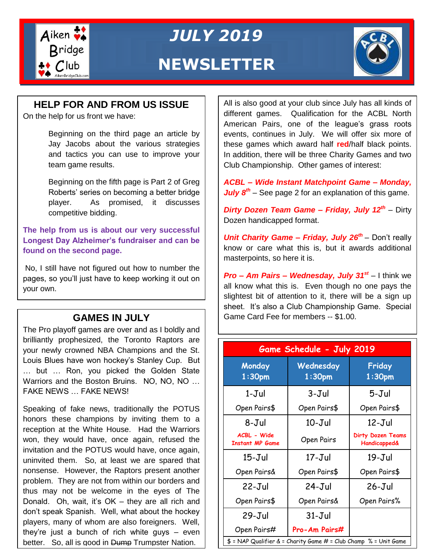

*JULY 2019*

### **NEWSLETTER**



#### **HELP FOR AND FROM US ISSUE**

On the help for us front we have:

Beginning on the third page an article by Jay Jacobs about the various strategies and tactics you can use to improve your team game results.

Beginning on the fifth page is Part 2 of Greg Roberts' series on becoming a better bridge player. As promised, it discusses competitive bidding.

**The help from us is about our very successful Longest Day Alzheimer's fundraiser and can be found on the second page.**

No, I still have not figured out how to number the pages, so you'll just have to keep working it out on your own.

The Pro playoff games are over and as I boldly and brilliantly prophesized, the Toronto Raptors are your newly crowned NBA Champions and the St. Louis Blues have won hockey's Stanley Cup. But … but … Ron, you picked the Golden State Warriors and the Boston Bruins. NO, NO, NO … FAKE NEWS … FAKE NEWS!

Speaking of fake news, traditionally the POTUS honors these champions by inviting them to a reception at the White House. Had the Warriors won, they would have, once again, refused the invitation and the POTUS would have, once again, uninvited them. So, at least we are spared that nonsense. However, the Raptors present another problem. They are not from within our borders and thus may not be welcome in the eyes of The Donald. Oh, wait, it's OK – they are all rich and don't speak Spanish. Well, what about the hockey players, many of whom are also foreigners. Well, they're just a bunch of rich white guys – even better. So, all is good in Dump Trumpster Nation.

All is also good at your club since July has all kinds of different games. Qualification for the ACBL North American Pairs, one of the league's grass roots events, continues in July. We will offer six more of these games which award half **red**/half black points. In addition, there will be three Charity Games and two Club Championship. Other games of interest:

*ACBL – Wide Instant Matchpoint Game – Monday, July 8th* – See page 2 for an explanation of this game.

*Dirty Dozen Team Game – Friday, July 12th* – Dirty Dozen handicapped format.

**Unit Charity Game – Friday, July 26<sup>th</sup> – Don't really** know or care what this is, but it awards additional masterpoints, so here it is.

*Pro – Am Pairs – Wednesday, July 31st* – I think we all know what this is. Even though no one pays the slightest bit of attention to it, there will be a sign up sheet. It's also a Club Championship Game. Special GAMES IN JULY **GAMES** IN JULY

| Game Schedule - July 2019                                         |                                 |                                                     |  |
|-------------------------------------------------------------------|---------------------------------|-----------------------------------------------------|--|
| Monday<br>1:30 <sub>pm</sub>                                      | Wednesday<br>1:30 <sub>pm</sub> | Friday<br>1:30 <sub>pm</sub>                        |  |
| $1 - J$ ul                                                        | $3 - J$ ul                      | $5 - J$ ul                                          |  |
| Open Pairs\$                                                      | Open Pairs\$                    | Open Pairs\$                                        |  |
| 8-Jul                                                             | $10 - Jul$                      | $12 - Jul$                                          |  |
| <b>ACBL - Wide</b><br><b>Instant MP Game</b>                      | Open Pairs                      | <b>Dirty Dozen Teams</b><br><b>Handicapped&amp;</b> |  |
| $15 - Jul$                                                        | $17 - J$ ul                     | $19 - Jul$                                          |  |
| Open Pairs&                                                       | Open Pairs\$                    | Open Pairs\$                                        |  |
| $22 - Jul$                                                        | $24-Jul$                        | $26 - Jul$                                          |  |
| Open Pairs\$                                                      | Open Pairs&                     | Open Pairs%                                         |  |
| $29 - \mathrm{Jul}$                                               | $31 - Jul$                      |                                                     |  |
| Open Pairs#                                                       | Pro-Am Pairs#                   |                                                     |  |
| $$ = NAP$ Qualifier & = Charity Game # = Club Champ % = Unit Game |                                 |                                                     |  |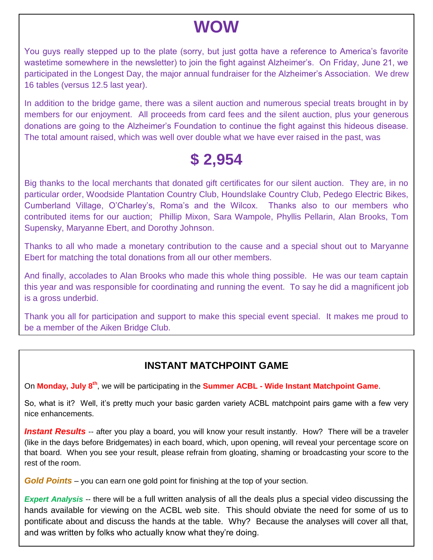## **WOW**

You guys really stepped up to the plate (sorry, but just gotta have a reference to America's favorite wastetime somewhere in the newsletter) to join the fight against Alzheimer's. On Friday, June 21, we participated in the Longest Day, the major annual fundraiser for the Alzheimer's Association. We drew 16 tables (versus 12.5 last year).

In addition to the bridge game, there was a silent auction and numerous special treats brought in by members for our enjoyment. All proceeds from card fees and the silent auction, plus your generous donations are going to the Alzheimer's Foundation to continue the fight against this hideous disease. The total amount raised, which was well over double what we have ever raised in the past, was

## **\$ 2,954**

Big thanks to the local merchants that donated gift certificates for our silent auction. They are, in no particular order, Woodside Plantation Country Club, Houndslake Country Club, Pedego Electric Bikes, Cumberland Village, O'Charley's, Roma's and the Wilcox. Thanks also to our members who contributed items for our auction; Phillip Mixon, Sara Wampole, Phyllis Pellarin, Alan Brooks, Tom Supensky, Maryanne Ebert, and Dorothy Johnson.

Thanks to all who made a monetary contribution to the cause and a special shout out to Maryanne Ebert for matching the total donations from all our other members.

And finally, accolades to Alan Brooks who made this whole thing possible. He was our team captain this year and was responsible for coordinating and running the event. To say he did a magnificent job is a gross underbid.

Thank you all for participation and support to make this special event special. It makes me proud to be a member of the Aiken Bridge Club.

### **INSTANT MATCHPOINT GAME**

On **Monday, July 8th**, we will be participating in the **Summer ACBL - Wide Instant Matchpoint Game**.

So, what is it? Well, it's pretty much your basic garden variety ACBL matchpoint pairs game with a few very nice enhancements.

**Instant Results** -- after you play a board, you will know your result instantly. How? There will be a traveler (like in the days before Bridgemates) in each board, which, upon opening, will reveal your percentage score on that board. When you see your result, please refrain from gloating, shaming or broadcasting your score to the rest of the room.

*Gold Points* – you can earn one gold point for finishing at the top of your section.

*Expert Analysis* -- there will be a full written analysis of all the deals plus a special video discussing the hands available for viewing on the ACBL web site. This should obviate the need for some of us to pontificate about and discuss the hands at the table. Why? Because the analyses will cover all that, and was written by folks who actually know what they're doing.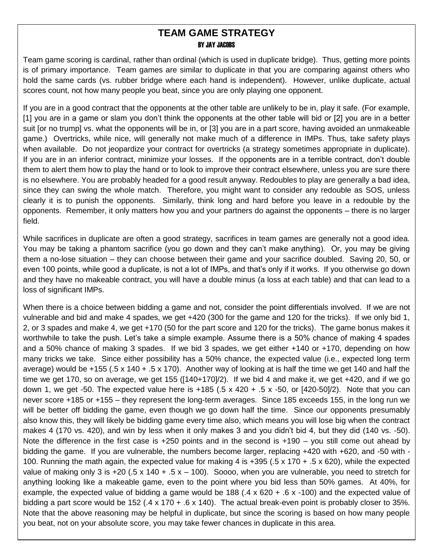#### **TEAM GAME STRATEGY** BY JAY JACOBS

Team game scoring is cardinal, rather than ordinal (which is used in duplicate bridge). Thus, getting more points is of primary importance. Team games are similar to duplicate in that you are comparing against others who hold the same cards (vs. rubber bridge where each hand is independent). However, unlike duplicate, actual scores count, not how many people you beat, since you are only playing one opponent.

If you are in a good contract that the opponents at the other table are unlikely to be in, play it safe. (For example, [1] you are in a game or slam you don't think the opponents at the other table will bid or [2] you are in a better suit [or no trump] vs. what the opponents will be in, or [3] you are in a part score, having avoided an unmakeable game.) Overtricks, while nice, will generally not make much of a difference in IMPs. Thus, take safety plays when available. Do not jeopardize your contract for overtricks (a strategy sometimes appropriate in duplicate). If you are in an inferior contract, minimize your losses. If the opponents are in a terrible contract, don't double them to alert them how to play the hand or to look to improve their contract elsewhere, unless you are sure there is no elsewhere. You are probably headed for a good result anyway. Redoubles to play are generally a bad idea, since they can swing the whole match. Therefore, you might want to consider any redouble as SOS, unless clearly it is to punish the opponents. Similarly, think long and hard before you leave in a redouble by the opponents. Remember, it only matters how you and your partners do against the opponents – there is no larger field.

While sacrifices in duplicate are often a good strategy, sacrifices in team games are generally not a good idea. You may be taking a phantom sacrifice (you go down and they can't make anything). Or, you may be giving them a no-lose situation – they can choose between their game and your sacrifice doubled. Saving 20, 50, or even 100 points, while good a duplicate, is not a lot of IMPs, and that's only if it works. If you otherwise go down and they have no makeable contract, you will have a double minus (a loss at each table) and that can lead to a loss of significant IMPs.

When there is a choice between bidding a game and not, consider the point differentials involved. If we are not vulnerable and bid and make 4 spades, we get +420 (300 for the game and 120 for the tricks). If we only bid 1, 2, or 3 spades and make 4, we get +170 (50 for the part score and 120 for the tricks). The game bonus makes it worthwhile to take the push. Let's take a simple example. Assume there is a 50% chance of making 4 spades and a 50% chance of making 3 spades. If we bid 3 spades, we get either +140 or +170, depending on how many tricks we take. Since either possibility has a 50% chance, the expected value (i.e., expected long term average) would be  $+155$  (.5 x 140 + .5 x 170). Another way of looking at is half the time we get 140 and half the time we get 170, so on average, we get 155 ([140+170]/2). If we bid 4 and make it, we get +420, and if we go down 1, we get -50. The expected value here is  $+185$  (.5 x 420  $+$  .5 x -50, or [420-50]/2). Note that you can never score +185 or +155 – they represent the long-term averages. Since 185 exceeds 155, in the long run we will be better off bidding the game, even though we go down half the time. Since our opponents presumably also know this, they will likely be bidding game every time also, which means you will lose big when the contract makes 4 (170 vs. 420), and win by less when it only makes 3 and you didn't bid 4, but they did (140 vs. -50). Note the difference in the first case is +250 points and in the second is +190 – you still come out ahead by bidding the game. If you are vulnerable, the numbers become larger, replacing +420 with +620, and -50 with - 100. Running the math again, the expected value for making 4 is +395 (.5 x 170 + .5 x 620), while the expected value of making only 3 is  $+20$  (.5 x 140 + .5 x – 100). Soooo, when you are vulnerable, you need to stretch for anything looking like a makeable game, even to the point where you bid less than 50% games. At 40%, for example, the expected value of bidding a game would be 188 (.4 x 620 + .6 x -100) and the expected value of bidding a part score would be 152 (.4 x 170 + .6 x 140). The actual break-even point is probably closer to 35%. Note that the above reasoning may be helpful in duplicate, but since the scoring is based on how many people you beat, not on your absolute score, you may take fewer chances in duplicate in this area.

-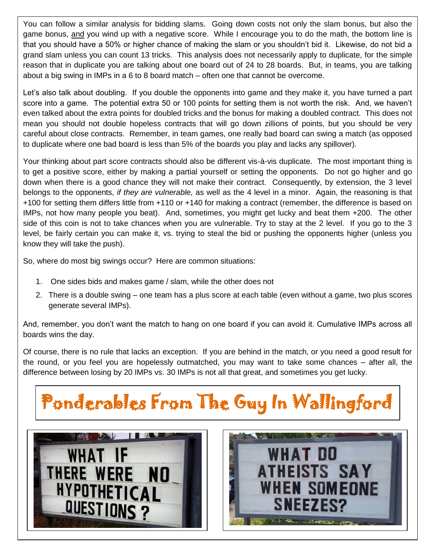You can follow a similar analysis for bidding slams. Going down costs not only the slam bonus, but also the game bonus, and you wind up with a negative score. While I encourage you to do the math, the bottom line is that you should have a 50% or higher chance of making the slam or you shouldn't bid it. Likewise, do not bid a grand slam unless you can count 13 tricks. This analysis does not necessarily apply to duplicate, for the simple reason that in duplicate you are talking about one board out of 24 to 28 boards. But, in teams, you are talking about a big swing in IMPs in a 6 to 8 board match – often one that cannot be overcome.

Let's also talk about doubling. If you double the opponents into game and they make it, you have turned a part score into a game. The potential extra 50 or 100 points for setting them is not worth the risk. And, we haven't even talked about the extra points for doubled tricks and the bonus for making a doubled contract. This does not mean you should not double hopeless contracts that will go down zillions of points, but you should be very careful about close contracts. Remember, in team games, one really bad board can swing a match (as opposed to duplicate where one bad board is less than 5% of the boards you play and lacks any spillover).

Your thinking about part score contracts should also be different vis-à-vis duplicate. The most important thing is to get a positive score, either by making a partial yourself or setting the opponents. Do not go higher and go down when there is a good chance they will not make their contract. Consequently, by extension, the 3 level belongs to the opponents, *if they are vulnerable,* as well as the 4 level in a minor. Again, the reasoning is that +100 for setting them differs little from +110 or +140 for making a contract (remember, the difference is based on IMPs, not how many people you beat). And, sometimes, you might get lucky and beat them +200. The other side of this coin is not to take chances when you are vulnerable. Try to stay at the 2 level. If you go to the 3 level, be fairly certain you can make it, vs. trying to steal the bid or pushing the opponents higher (unless you know they will take the push).

So, where do most big swings occur? Here are common situations:

- 1. One sides bids and makes game / slam, while the other does not
- 2. There is a double swing one team has a plus score at each table (even without a game, two plus scores generate several IMPs).

And, remember, you don't want the match to hang on one board if you can avoid it. Cumulative IMPs across all boards wins the day.

Of course, there is no rule that lacks an exception. If you are behind in the match, or you need a good result for the round, or you feel you are hopelessly outmatched, you may want to take some chances – after all, the difference between losing by 20 IMPs vs. 30 IMPs is not all that great, and sometimes you get lucky.

# **Dental Bridge** Ponderables From The Guy In Wallingford



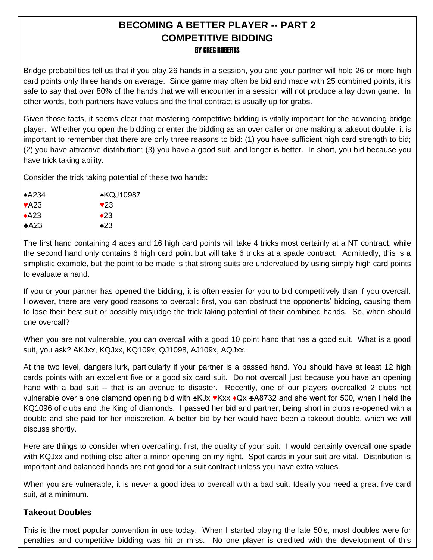#### **BECOMING A BETTER PLAYER -- PART 2 COMPETITIVE BIDDING** BY GREG ROBERTS

Bridge probabilities tell us that if you play 26 hands in a session, you and your partner will hold 26 or more high card points only three hands on average. Since game may often be bid and made with 25 combined points, it is safe to say that over 80% of the hands that we will encounter in a session will not produce a lay down game. In other words, both partners have values and the final contract is usually up for grabs.

Given those facts, it seems clear that mastering competitive bidding is vitally important for the advancing bridge player. Whether you open the bidding or enter the bidding as an over caller or one making a takeout double, it is important to remember that there are only three reasons to bid: (1) you have sufficient high card strength to bid; (2) you have attractive distribution; (3) you have a good suit, and longer is better. In short, you bid because you have trick taking ability.

Consider the trick taking potential of these two hands:

| $\star$ A234              | <u>•КQJ10987</u> |
|---------------------------|------------------|
| $\blacktriangleright$ A23 | $\vee$ 23        |
| $\triangle$ A23           | $\triangle 23$   |
| A23                       | $\triangle 23$   |

The first hand containing 4 aces and 16 high card points will take 4 tricks most certainly at a NT contract, while the second hand only contains 6 high card point but will take 6 tricks at a spade contract. Admittedly, this is a simplistic example, but the point to be made is that strong suits are undervalued by using simply high card points to evaluate a hand.

If you or your partner has opened the bidding, it is often easier for you to bid competitively than if you overcall. However, there are very good reasons to overcall: first, you can obstruct the opponents' bidding, causing them to lose their best suit or possibly misjudge the trick taking potential of their combined hands. So, when should one overcall?

When you are not vulnerable, you can overcall with a good 10 point hand that has a good suit. What is a good suit, you ask? AKJxx, KQJxx, KQ109x, QJ1098, AJ109x, AQJxx.

At the two level, dangers lurk, particularly if your partner is a passed hand. You should have at least 12 high cards points with an excellent five or a good six card suit. Do not overcall just because you have an opening hand with a bad suit -- that is an avenue to disaster. Recently, one of our players overcalled 2 clubs not vulnerable over a one diamond opening bid with ♠KJx ♥Kxx ♦Qx ♣A8732 and she went for 500, when I held the KQ1096 of clubs and the King of diamonds. I passed her bid and partner, being short in clubs re-opened with a double and she paid for her indiscretion. A better bid by her would have been a takeout double, which we will discuss shortly.

Here are things to consider when overcalling: first, the quality of your suit. I would certainly overcall one spade with KQJxx and nothing else after a minor opening on my right. Spot cards in your suit are vital. Distribution is important and balanced hands are not good for a suit contract unless you have extra values.

When you are vulnerable, it is never a good idea to overcall with a bad suit. Ideally you need a great five card suit, at a minimum.

#### **Takeout Doubles**

This is the most popular convention in use today. When I started playing the late 50's, most doubles were for penalties and competitive bidding was hit or miss. No one player is credited with the development of this

convention, but it was popularized by the Bridge World magazine.